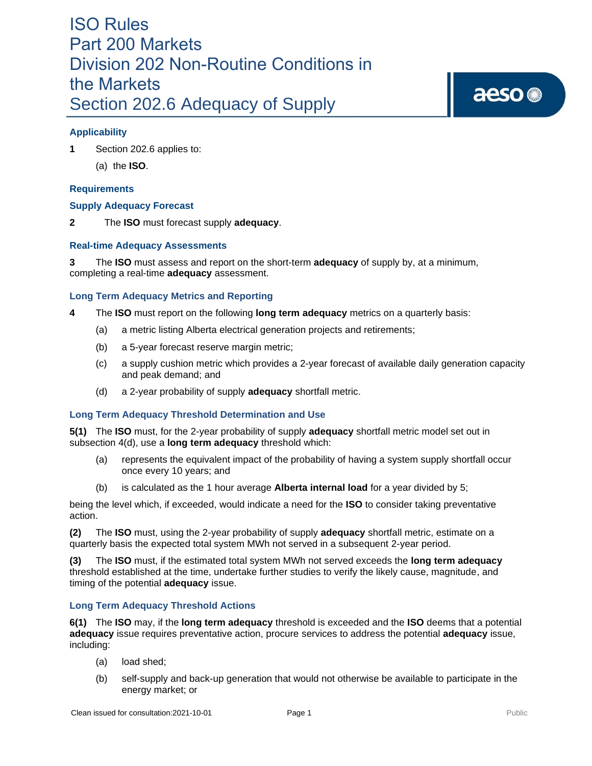## ISO Rules Part 200 Markets Division 202 Non-Routine Conditions in the Markets Section 202.6 Adequacy of Supply

### **Applicability**

**1** Section 202.6 applies to:

(a) the **ISO**.

#### **Requirements**

#### **Supply Adequacy Forecast**

**2** The **ISO** must forecast supply **adequacy**.

#### **Real-time Adequacy Assessments**

**3** The **ISO** must assess and report on the short-term **adequacy** of supply by, at a minimum, completing a real-time **adequacy** assessment.

#### **Long Term Adequacy Metrics and Reporting**

- **4** The **ISO** must report on the following **long term adequacy** metrics on a quarterly basis:
	- (a) a metric listing Alberta electrical generation projects and retirements;
	- (b) a 5-year forecast reserve margin metric;
	- (c) a supply cushion metric which provides a 2-year forecast of available daily generation capacity and peak demand; and
	- (d) a 2-year probability of supply **adequacy** shortfall metric.

#### **Long Term Adequacy Threshold Determination and Use**

**5(1)** The **ISO** must, for the 2-year probability of supply **adequacy** shortfall metric model set out in subsection 4(d), use a **long term adequacy** threshold which:

- (a) represents the equivalent impact of the probability of having a system supply shortfall occur once every 10 years; and
- (b) is calculated as the 1 hour average **Alberta internal load** for a year divided by 5;

being the level which, if exceeded, would indicate a need for the **ISO** to consider taking preventative action.

**(2)** The **ISO** must, using the 2-year probability of supply **adequacy** shortfall metric, estimate on a quarterly basis the expected total system MWh not served in a subsequent 2-year period.

**(3)** The **ISO** must, if the estimated total system MWh not served exceeds the **long term adequacy**  threshold established at the time, undertake further studies to verify the likely cause, magnitude, and timing of the potential **adequacy** issue.

#### **Long Term Adequacy Threshold Actions**

**6(1)** The **ISO** may, if the **long term adequacy** threshold is exceeded and the **ISO** deems that a potential **adequacy** issue requires preventative action, procure services to address the potential **adequacy** issue, including:

- (a) load shed;
- (b) self-supply and back-up generation that would not otherwise be available to participate in the energy market; or